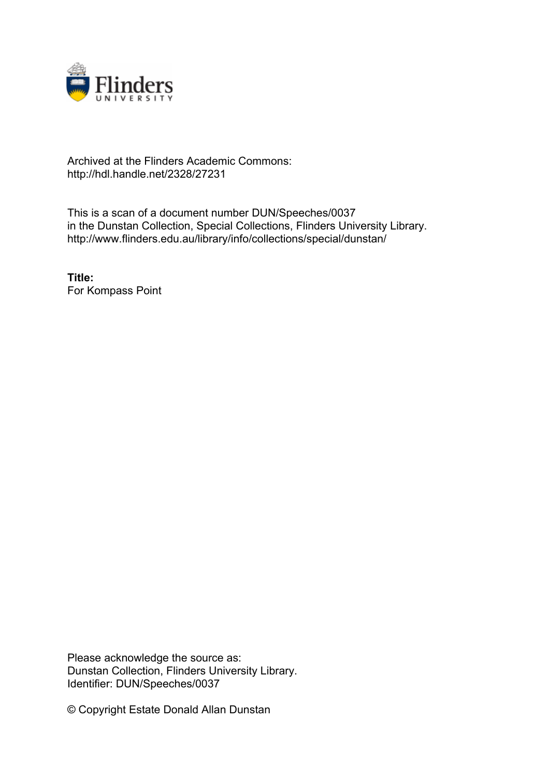

## Archived at the Flinders Academic Commons: http://hdl.handle.net/2328/27231

This is a scan of a document number DUN/Speeches/0037 in the Dunstan Collection, Special Collections, Flinders University Library. http://www.flinders.edu.au/library/info/collections/special/dunstan/

**Title:** For Kompass Point

Please acknowledge the source as: Dunstan Collection, Flinders University Library. Identifier: DUN/Speeches/0037

© Copyright Estate Donald Allan Dunstan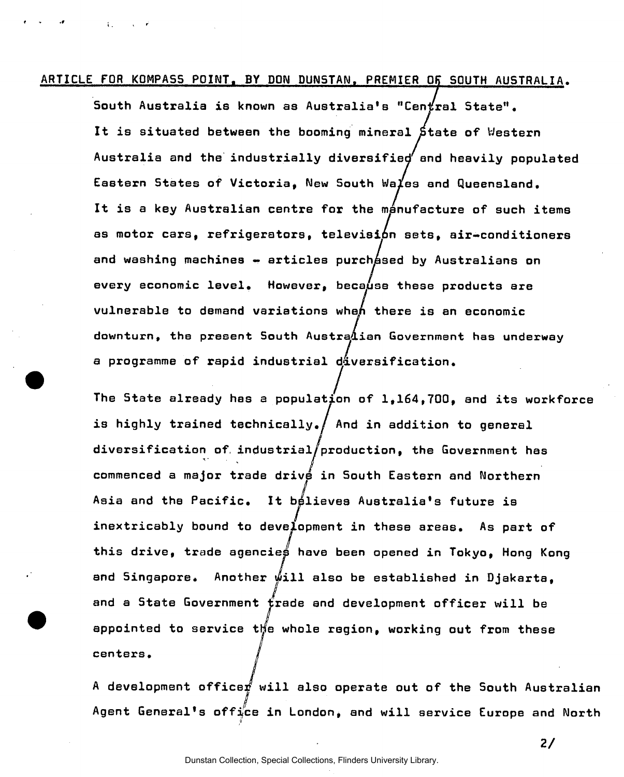## **ARTICLE FOR KQMPA55 POINT. BY DON DUNSTAN. PREMIER OK SOUTH AUSTRALIA.**

**a programme of rapid industrial diversification.** 

**South Australia is known as Australia's "Central State".**  It is situated between the booming mineral State of Western **Australia and the industrially diversified and heavily populated Eastern States of Victoria, New South Wales and Queensland,**  It is a key Australian centre for the manufacture of such items **as motor cars, refrigerators, television sets, air-conditioners**  and washing machines - articles purch as a by Australians on every economic level. However, because these products are **vulnerable to demand variations when there is an economic downturn, the present South Australian Government has underway**  a programme of rapid industrial diversification.

The State already has a population of 1,164,700, and its workforce **The State already has a population of 1,164,700, and its workforce**  is highly trained technically./ And in addition to general **is highly trained technically./ And in addition to general**  diversification of industrial/production, the Government has **diversification of. industrial/production, the Government has commenced a major trade drive in South Eastern and Northern**  Asia and the Pacific. It bélieves Australia's future is **Asia and the Pacific. It believes Australia's future is**  inextricably bound to development in these areas. As part of **inextricably bound to development in these areas. As part of this drive, trade agencies have been opened in Tokyo, Hong Kong**  and Singapore. Another will also be established in Diakarta. **and Singapore\* Another will also be established in Djakarta, and a State Government trade and development officer will be**  appointed to service the whole region, working out from these **^ appointed to service tljm whole region, working out from these**  centers.

A development officer will also operate out of the South Australian Agent General's office in London, and will service Europe and North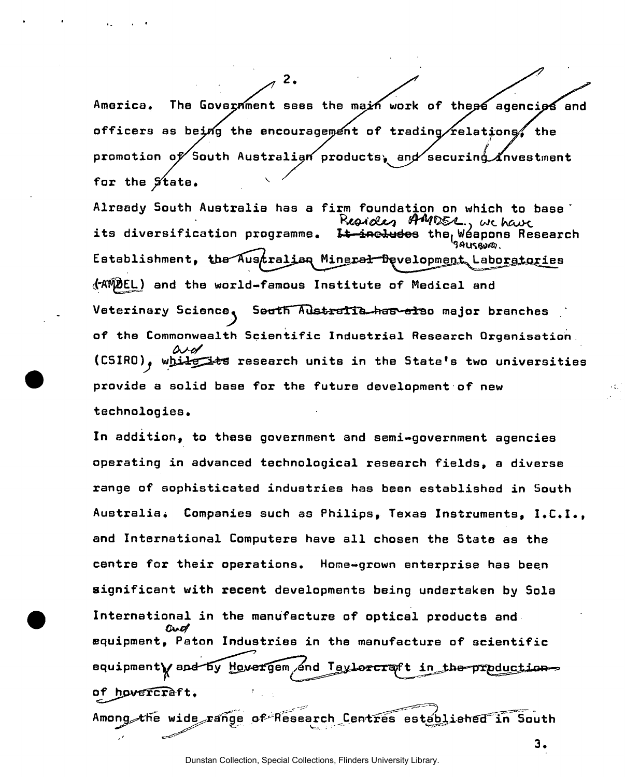America. The Government sees the main work of these agencies and officers as being the encouragement of trading/relations/ the promotion of South Australian products, and∕securinq *i*nvestment **for the State.** 

2.

**Already South Australia has a firm foundation on which to base "**  its diversification programme. I<del>t include</del>s the<sub>l</sub>Wéapons Research **State of the search** *seuse*  $\epsilon$ stablishment, the $\lambda$ us $\textit{tr}$ alian Minera<del>l D</del>evelopment Laboratories **c("A'I^EL ) and the world-famous Institute of Medical and**  Veterinary Science, Seuth Australie has also major branches **of the Commonwealth Scientific Industrial Research Organisation (CSIRO)^ wfjjJrg^fcS research units in the State's two universities provide a solid base for the future development of new technologies.** 

**In addition, to these government and semi-government agencies operating in advanced technological research fields, a diverse range of sophisticated industries has been established in South Australia\* Companies such as Philips, Texas Instruments, I.C.I., and International Computers have all chosen the State as the centre for their operations. Home-grown enterprise has been significant with recent developments being undertaken by Sola International in the manufacture of optical products and**  and **equipment, Paton Industries in the manufacture of scientific**  equipment**y** and by Hovergem and Taylorcraft in the production**of^hpv^Scr&f t,** 

Among the wide range of Research Centres established in South

**3.**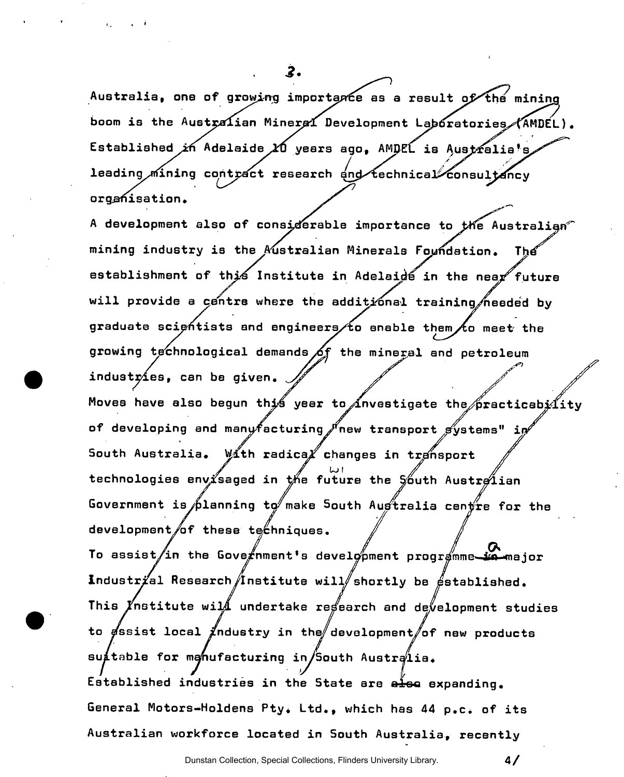Australia, one of growing importance as a result of the mining boom is the Australian Mineral Development Laboratories (AMDEL). Established in Adelaide *10* years ago, AMDEL is Australia's leading mining contract research and technical consultancy **L / '**  organisation. **organisation.** 

2.

A development also of considerable importance to the Australian **A development also of considerable importance to fcHe Australian"**  mining industry is the Australian Minerals Foundation. Thế **mining industry is the Australian Minerals FmHidation. Tfct establishment of this Institute in Adelaide in the nea/future**  will provide a centre where the additional training/heeded by graduate scientists and engineers to enable them to meet the **growing technological demands j6f the mineral and petroleum**  industries, can be given. Moves have also begun this year to investigate the practicebility of developing and manyfacturing fnew transport systems" in South Australia. With radica<sup>*X*</sup> changes in transport technologies envisaged in the future the South Austrelian Government is planning to make South Augtralia centre for the development of these techniques. To assist/in the Gove#nment's development programme<del>s.</del> *in-major* Industrial Research *(Institute will* shortly be established. This *Institute will* undertake regearch and development studies to gssist local *industry* in the development of new products suitable for manufacturing in/South Australia. Established industries in the State are also expanding. General Motors-Holdens Pty. Ltd., which has 44 p.c. of its

Australian workforce located in South Australia, recently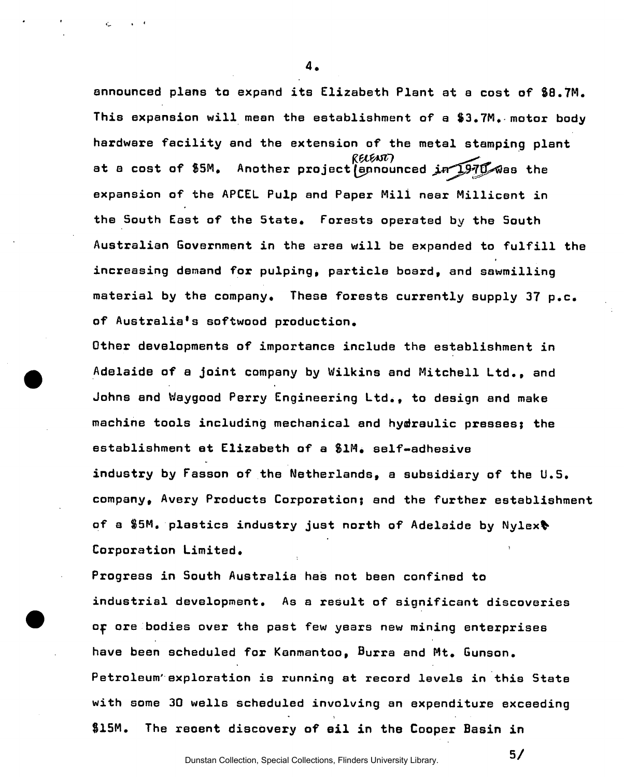**announced plans to expand its Elizabeth Plant at a cost of S8.7M. This expansion will mean the establishment of a \$3.7M. motor body hardware facility and the extension of the metal stamping plant**  RELENT at a cost of \$5M. Another project ennounced in 1970 was the **expansion of the APCEL Pulp and Paper Mili near Millicent in the South East of the 5tate. Forests operated by the South Australian Government in the area will be expanded to fulfill the increasing demand for pulping^ particle board, and sawmilling material by the company. These forests currently supply 37 p.c. of Australia's softwood production.** 

**Other developments of importance include the establishment in Adelaide of a joint company by Wilkins and Mitchell Ltd., and Johns and Waygood Perry Engineering Ltd., to design and make machine tools including mechanical and hydraulic presses; the establishment at Elizabeth of a SIM. self-adhesive industry by Fasson of the Netherlands, a subsidiary of the U.S. company, Avery Products Corporation; and the further establishment of a \$5M. plastics industry just north of Adelaide by Nylexfc Corporation Limited.** 

**Progress in South Australia has not been confined to industrial development. As a result of significant discoveries ojp ore bodies over the past few years new mining enterprises have been scheduled for Kanmantoo, Burra and Mt. Gunson. Petroleum' exploration is running at record levels in this State with some 30 wells scheduled involving an expenditure exceeding \$15M. The reoent discovery of ail in the Cooper Basin in**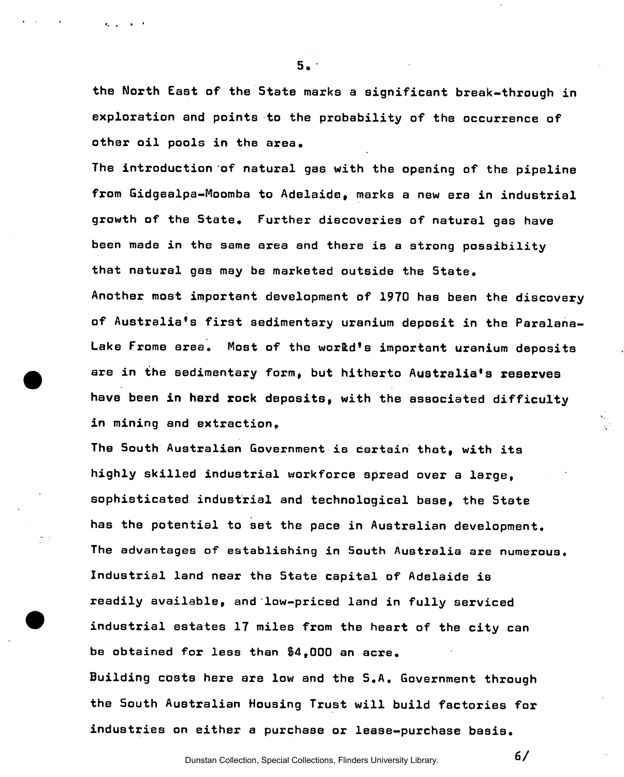**the North East of the State marks a significant break-through in exploration and points to the probability of the occurrence of other oil pools in the area.** 

 $5.$ 

**The introduction of natural gas with the opening of the pipeline from Gidgealpa-Moomba to Adelaide, marks a new era in industrial growth of the State, Further discoveries of natural gas have been made in the same area and there is a strong possibility that natural gas may be marketed outside the State. Another most important development of 1970 has been the discovery of Australia's first sedimentary uranium deposit in the Paralana-**Lake Frome area. Most of the workd's important uranium deposits **are in the sedimentary form, but hitherto Australia's reserves have been in hard rock deposits, with the associated difficulty in mining and extraction,** 

**The South Australian Government is certain that, with its highly skilled industrial workforce spread over a large, sophisticated industrial and technological base, the State has the potential to set the pace in Austrelian development. The advantages of establishing in South Australia are numerous. Industrial land near the State capital of Adelaide is readily available, and low-priced land in fully serviced industrial estates 17 miles from the heart of the city can be obtained for less than \$4,000 an acre. Building costs here are low and the S.A. Government through the South Australian Housing Trust will build factories for industries on either a purchase or lease-purchase basis.** 

Dunstan Collection, Special Collections, Flinders University Library.